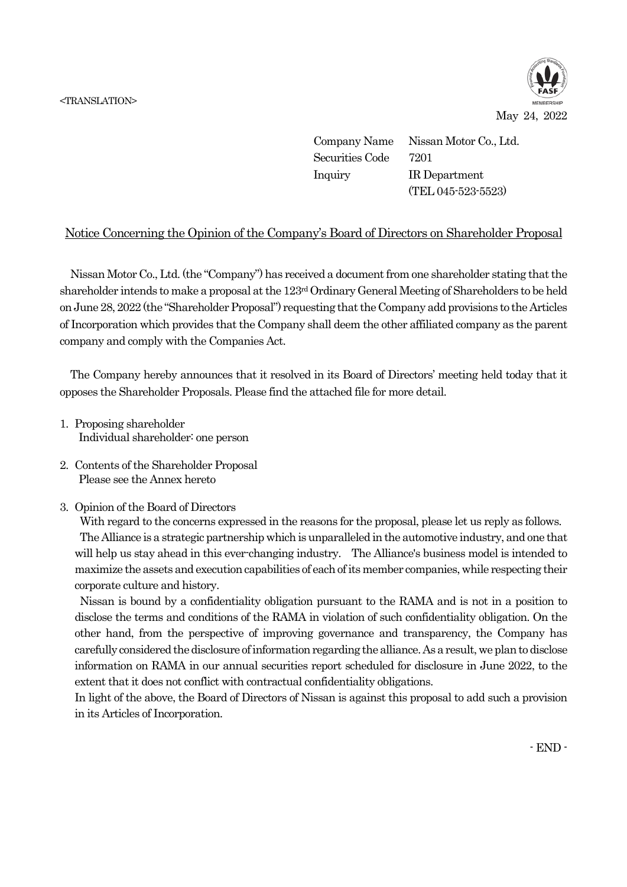

May 24, 2022

Company Name Nissan Motor Co., Ltd. Securities Code 7201 Inquiry IR Department (TEL 045-523-5523)

## Notice Concerning the Opinion of the Company's Board of Directors on Shareholder Proposal

Nissan Motor Co., Ltd. (the "Company") has received a document from one shareholder stating that the shareholder intends to make a proposal at the 123rd Ordinary General Meeting of Shareholders to be held on June 28, 2022 (the "Shareholder Proposal") requesting that the Company add provisions to the Articles of Incorporation which provides that the Company shall deem the other affiliated company as the parent company and comply with the Companies Act.

The Company hereby announces that it resolved in its Board of Directors' meeting held today that it opposes the Shareholder Proposals. Please find the attached file for more detail.

- 1. Proposing shareholder Individual shareholder: one person
- 2. Contents of the Shareholder Proposal Please see the Annex hereto
- 3. Opinion of the Board of Directors

With regard to the concerns expressed in the reasons for the proposal, please let us reply as follows. The Alliance is a strategic partnership which is unparalleled in the automotive industry, and one that will help us stay ahead in this ever-changing industry. The Alliance's business model is intended to maximize the assets and execution capabilities of each of its member companies, while respecting their corporate culture and history.

Nissan is bound by a confidentiality obligation pursuant to the RAMA and is not in a position to disclose the terms and conditions of the RAMA in violation of such confidentiality obligation. On the other hand, from the perspective of improving governance and transparency, the Company has carefully considered the disclosure of information regarding the alliance. As a result, we plan to disclose information on RAMA in our annual securities report scheduled for disclosure in June 2022, to the extent that it does not conflict with contractual confidentiality obligations.

In light of the above, the Board of Directors of Nissan is against this proposal to add such a provision in its Articles of Incorporation.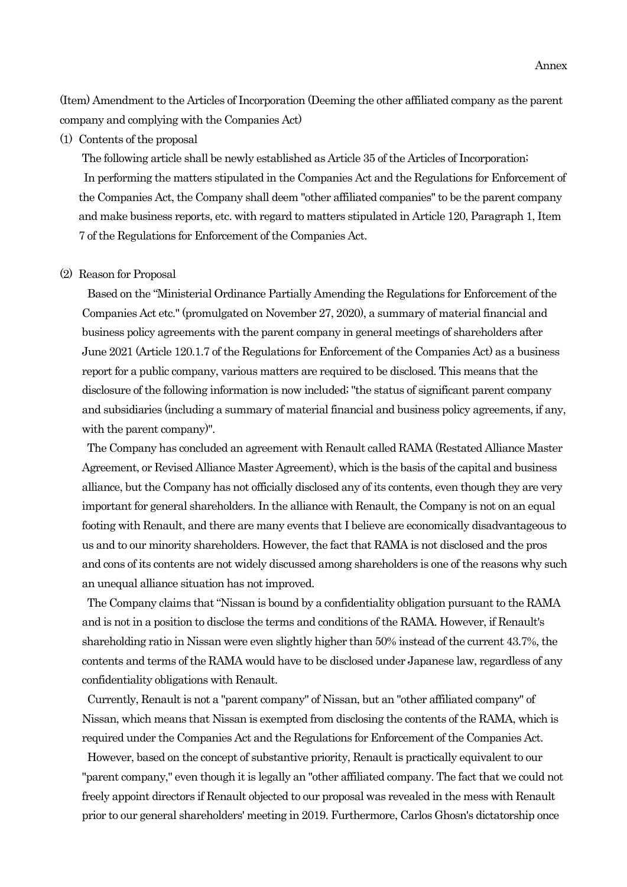(Item) Amendment to the Articles of Incorporation (Deeming the other affiliated company as the parent company and complying with the Companies Act)

(1) Contents of the proposal

The following article shall be newly established as Article 35 of the Articles of Incorporation; In performing the matters stipulated in the Companies Act and the Regulations for Enforcement of the Companies Act, the Company shall deem "other affiliated companies" to be the parent company and make business reports, etc. with regard to matters stipulated in Article 120, Paragraph 1, Item 7 of the Regulations for Enforcement of the Companies Act.

## (2) Reason for Proposal

Based on the "Ministerial Ordinance Partially Amending the Regulations for Enforcement of the Companies Act etc." (promulgated on November 27, 2020), a summary of material financial and business policy agreements with the parent company in general meetings of shareholders after June 2021 (Article 120.1.7 of the Regulations for Enforcement of the Companies Act) as a business report for a public company, various matters are required to be disclosed. This means that the disclosure of the following information is now included; "the status of significant parent company and subsidiaries (including a summary of material financial and business policy agreements, if any, with the parent company)".

The Company has concluded an agreement with Renault called RAMA (Restated Alliance Master Agreement, or Revised Alliance Master Agreement), which is the basis of the capital and business alliance, but the Company has not officially disclosed any of its contents, even though they are very important for general shareholders. In the alliance with Renault, the Company is not on an equal footing with Renault, and there are many events that I believe are economically disadvantageous to us and to our minority shareholders. However, the fact that RAMA is not disclosed and the pros and cons of its contents are not widely discussed among shareholders is one of the reasons why such an unequal alliance situation has not improved.

The Company claims that "Nissan is bound by a confidentiality obligation pursuant to the RAMA and is not in a position to disclose the terms and conditions of the RAMA. However, if Renault's shareholding ratio in Nissan were even slightly higher than 50% instead of the current 43.7%, the contents and terms of the RAMA would have to be disclosed under Japanese law, regardless of any confidentiality obligations with Renault.

Currently, Renault is not a "parent company" of Nissan, but an "other affiliated company" of Nissan, which means that Nissan is exempted from disclosing the contents of the RAMA, which is required under the Companies Act and the Regulations for Enforcement of the Companies Act.

However, based on the concept of substantive priority, Renault is practically equivalent to our "parent company," even though it is legally an "other affiliated company. The fact that we could not freely appoint directors if Renault objected to our proposal was revealed in the mess with Renault prior to our general shareholders' meeting in 2019. Furthermore, Carlos Ghosn's dictatorship once